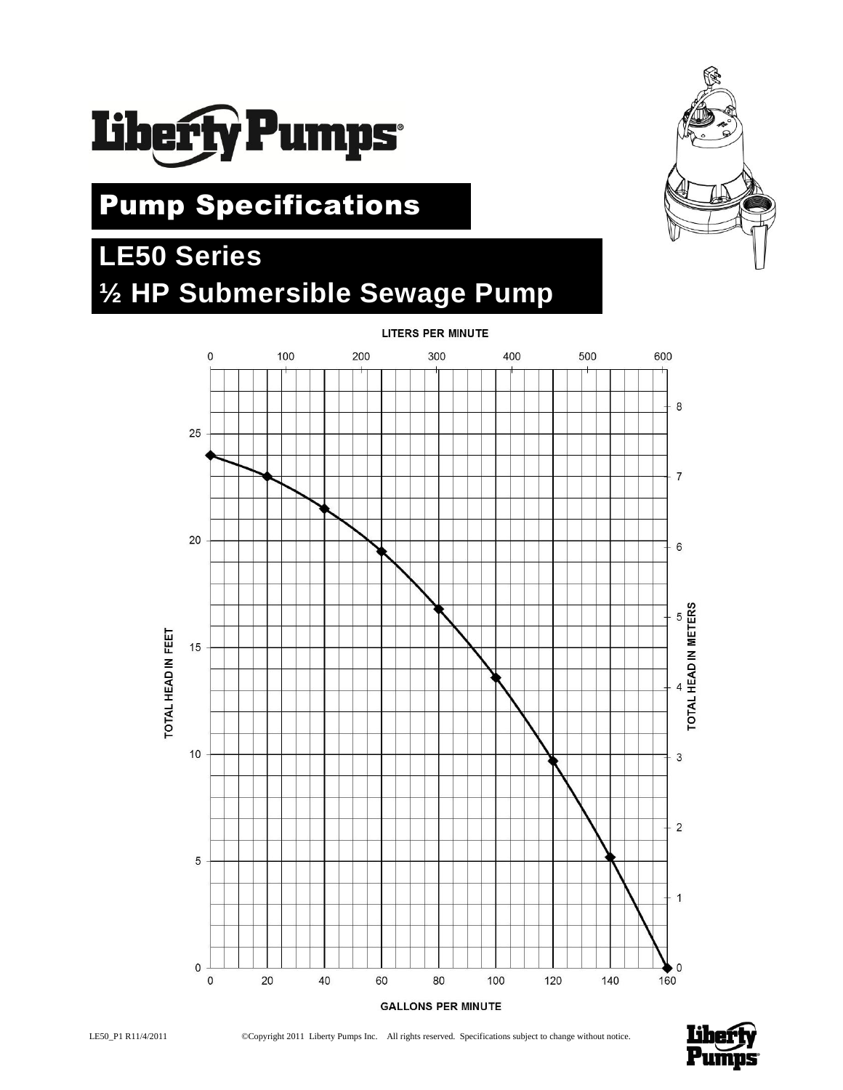

# Pump Specifications

# **LE50 Series ½ HP Submersible Sewage Pump**



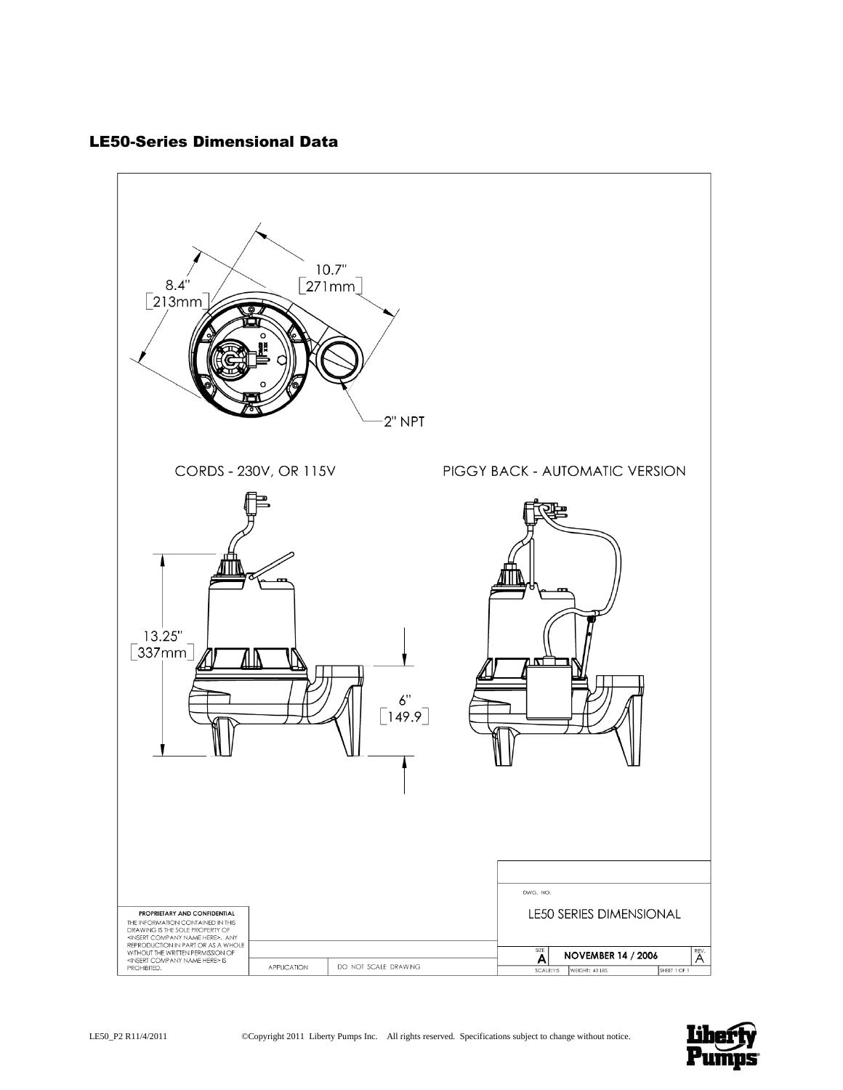# LE50-Series Dimensional Data



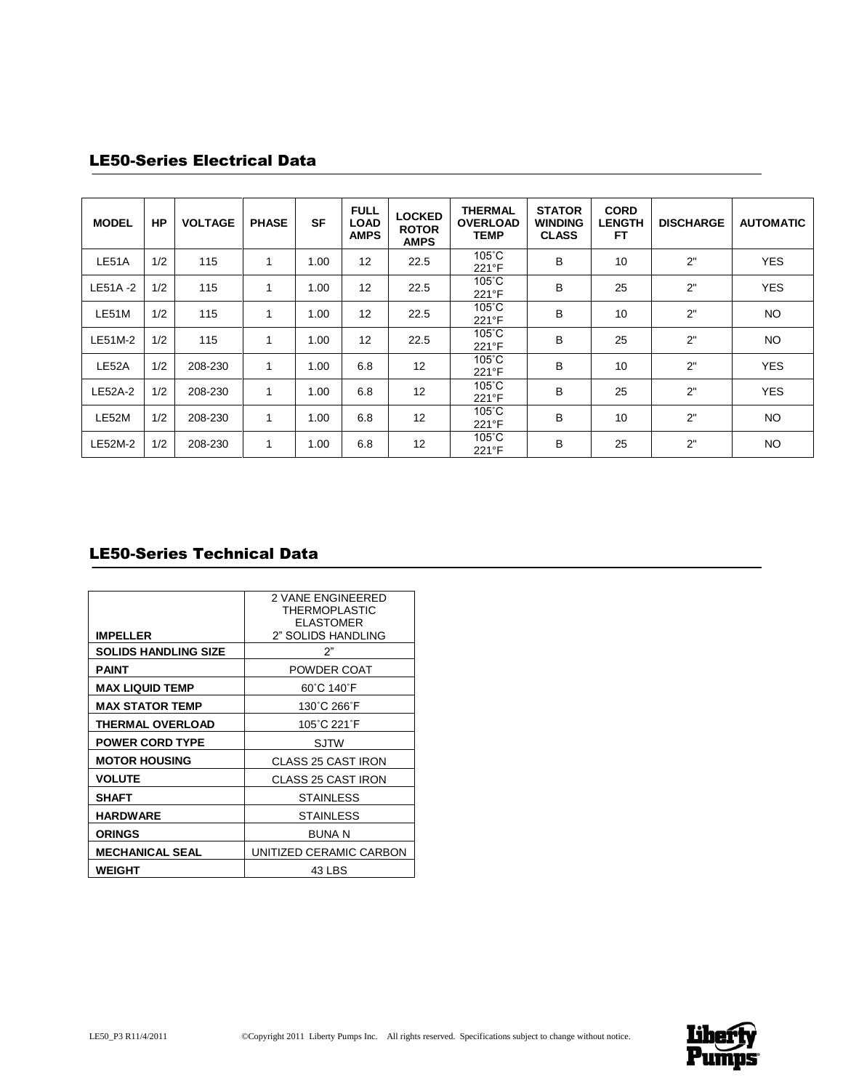# LE50-Series Electrical Data

| <b>MODEL</b> | <b>HP</b> | <b>VOLTAGE</b> | <b>PHASE</b> | <b>SF</b> | <b>FULL</b><br><b>LOAD</b><br><b>AMPS</b> | <b>LOCKED</b><br><b>ROTOR</b><br><b>AMPS</b> | <b>THERMAL</b><br><b>OVERLOAD</b><br><b>TEMP</b> | <b>STATOR</b><br><b>WINDING</b><br><b>CLASS</b> | <b>CORD</b><br><b>LENGTH</b><br><b>FT</b> | <b>DISCHARGE</b> | <b>AUTOMATIC</b> |
|--------------|-----------|----------------|--------------|-----------|-------------------------------------------|----------------------------------------------|--------------------------------------------------|-------------------------------------------------|-------------------------------------------|------------------|------------------|
| LE51A        | 1/2       | 115            |              | 1.00      | 12                                        | 22.5                                         | $105^{\circ}$ C<br>221°F                         | B                                               | 10                                        | 2"               | <b>YES</b>       |
| LE51A-2      | 1/2       | 115            |              | 1.00      | 12                                        | 22.5                                         | $105^{\circ}$ C<br>221°F                         | B                                               | 25                                        | 2"               | <b>YES</b>       |
| LE51M        | 1/2       | 115            |              | 1.00      | 12                                        | 22.5                                         | $105^{\circ}$ C<br>221°F                         | B                                               | 10                                        | 2"               | <b>NO</b>        |
| LE51M-2      | 1/2       | 115            |              | 1.00      | 12                                        | 22.5                                         | $105^\circ C$<br>221°F                           | B                                               | 25                                        | 2"               | <b>NO</b>        |
| LE52A        | 1/2       | 208-230        |              | 1.00      | 6.8                                       | 12                                           | $105^{\circ}$ C<br>221°F                         | B                                               | 10                                        | 2"               | <b>YES</b>       |
| LE52A-2      | 1/2       | 208-230        | 1            | 1.00      | 6.8                                       | 12                                           | $105^{\circ}$ C<br>$221^{\circ}F$                | B                                               | 25                                        | 2"               | <b>YES</b>       |
| LE52M        | 1/2       | 208-230        | 1            | 1.00      | 6.8                                       | 12                                           | $105^{\circ}$ C<br>221°F                         | B                                               | 10                                        | 2"               | <b>NO</b>        |
| LE52M-2      | 1/2       | 208-230        |              | 1.00      | 6.8                                       | 12                                           | $105^{\circ}$ C<br>221°F                         | B                                               | 25                                        | 2"               | <b>NO</b>        |

# LE50-Series Technical Data

|                             | <b>2 VANE ENGINEERED</b><br>THERMOPLASTIC<br><b>ELASTOMER</b> |
|-----------------------------|---------------------------------------------------------------|
| <b>IMPELLER</b>             | 2" SOLIDS HANDLING                                            |
| <b>SOLIDS HANDLING SIZE</b> | 2"                                                            |
| PAINT                       | POWDER COAT                                                   |
| <b>MAX LIQUID TEMP</b>      | 60°C 140°F                                                    |
| <b>MAX STATOR TEMP</b>      | 130°C 266°F                                                   |
| <b>THERMAL OVERLOAD</b>     | 105°C 221°F                                                   |
| <b>POWER CORD TYPE</b>      | <b>SJTW</b>                                                   |
| <b>MOTOR HOUSING</b>        | <b>CLASS 25 CAST IRON</b>                                     |
| <b>VOLUTE</b>               | <b>CLASS 25 CAST IRON</b>                                     |
| <b>SHAFT</b>                | <b>STAINLESS</b>                                              |
| <b>HARDWARE</b>             | STAINLESS                                                     |
| <b>ORINGS</b>               | <b>BUNA N</b>                                                 |
| <b>MECHANICAL SEAL</b>      | UNITIZED CERAMIC CARBON                                       |
| WEIGHT                      | 43 LBS                                                        |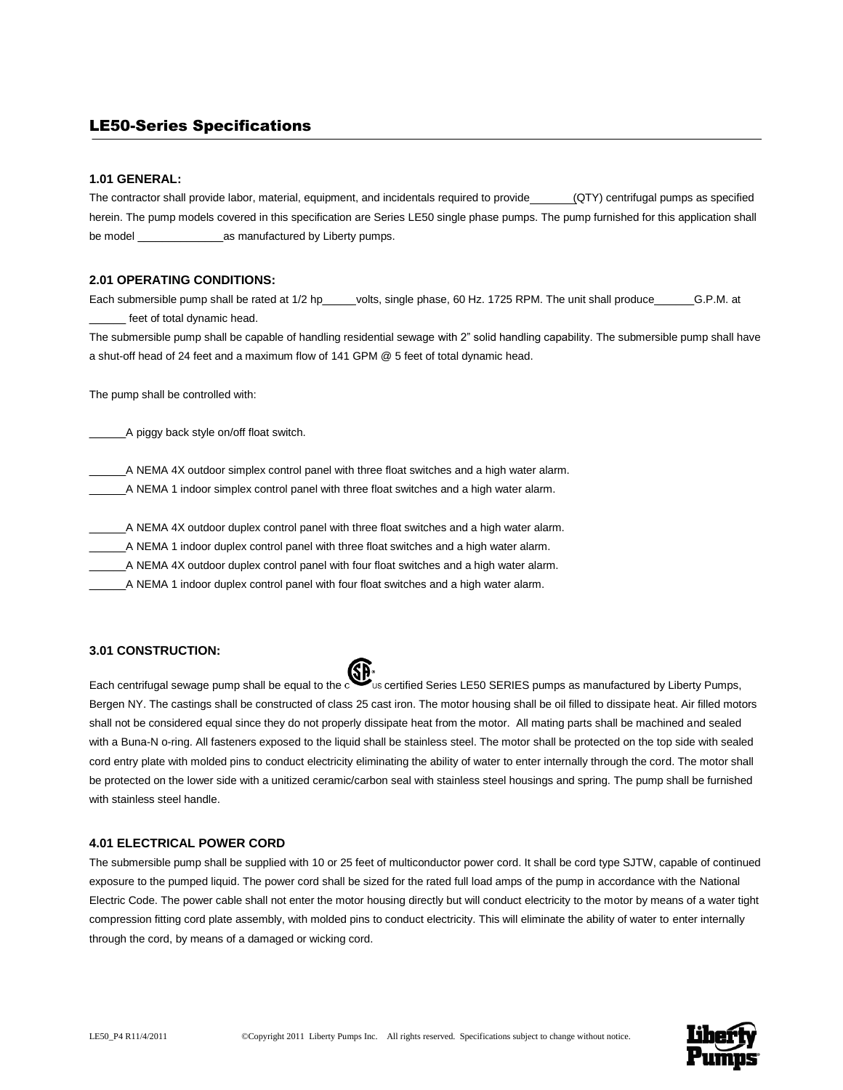# LE50-Series Specifications

#### **1.01 GENERAL:**

The contractor shall provide labor, material, equipment, and incidentals required to provide (QTY) centrifugal pumps as specified herein. The pump models covered in this specification are Series LE50 single phase pumps. The pump furnished for this application shall be model \_\_\_\_\_\_\_\_\_\_\_\_\_\_as manufactured by Liberty pumps.

## **2.01 OPERATING CONDITIONS:**

Each submersible pump shall be rated at 1/2 hp\_\_\_\_\_volts, single phase, 60 Hz. 1725 RPM. The unit shall produce\_\_\_\_\_\_\_G.P.M. at \_\_\_\_\_\_ feet of total dynamic head.

The submersible pump shall be capable of handling residential sewage with 2" solid handling capability. The submersible pump shall have a shut-off head of 24 feet and a maximum flow of 141 GPM @ 5 feet of total dynamic head.

The pump shall be controlled with:

\_\_\_\_\_\_A piggy back style on/off float switch.

\_\_\_\_\_\_A NEMA 4X outdoor simplex control panel with three float switches and a high water alarm.

\_\_\_\_\_\_A NEMA 1 indoor simplex control panel with three float switches and a high water alarm.

\_\_\_\_\_\_A NEMA 4X outdoor duplex control panel with three float switches and a high water alarm.

\_\_\_\_\_\_A NEMA 1 indoor duplex control panel with three float switches and a high water alarm.

\_\_\_\_\_\_A NEMA 4X outdoor duplex control panel with four float switches and a high water alarm.

\_\_\_\_\_\_A NEMA 1 indoor duplex control panel with four float switches and a high water alarm.

#### **3.01 CONSTRUCTION:**

Each centrifugal sewage pump shall be equal to the certified Series LE50 SERIES pumps as manufactured by Liberty Pumps, Bergen NY. The castings shall be constructed of class 25 cast iron. The motor housing shall be oil filled to dissipate heat. Air filled motors shall not be considered equal since they do not properly dissipate heat from the motor. All mating parts shall be machined and sealed with a Buna-N o-ring. All fasteners exposed to the liquid shall be stainless steel. The motor shall be protected on the top side with sealed cord entry plate with molded pins to conduct electricity eliminating the ability of water to enter internally through the cord. The motor shall be protected on the lower side with a unitized ceramic/carbon seal with stainless steel housings and spring. The pump shall be furnished with stainless steel handle.

#### **4.01 ELECTRICAL POWER CORD**

The submersible pump shall be supplied with 10 or 25 feet of multiconductor power cord. It shall be cord type SJTW, capable of continued exposure to the pumped liquid. The power cord shall be sized for the rated full load amps of the pump in accordance with the National Electric Code. The power cable shall not enter the motor housing directly but will conduct electricity to the motor by means of a water tight compression fitting cord plate assembly, with molded pins to conduct electricity. This will eliminate the ability of water to enter internally through the cord, by means of a damaged or wicking cord.

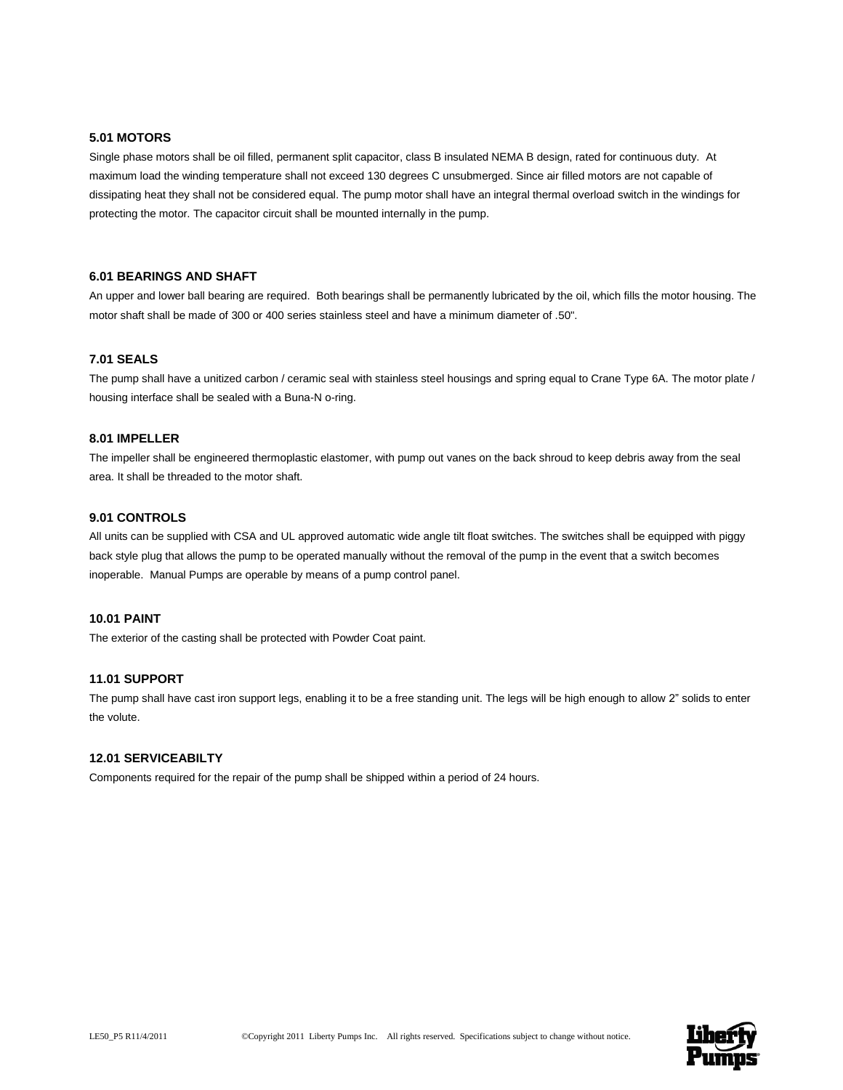# **5.01 MOTORS**

Single phase motors shall be oil filled, permanent split capacitor, class B insulated NEMA B design, rated for continuous duty. At maximum load the winding temperature shall not exceed 130 degrees C unsubmerged. Since air filled motors are not capable of dissipating heat they shall not be considered equal. The pump motor shall have an integral thermal overload switch in the windings for protecting the motor. The capacitor circuit shall be mounted internally in the pump.

#### **6.01 BEARINGS AND SHAFT**

An upper and lower ball bearing are required. Both bearings shall be permanently lubricated by the oil, which fills the motor housing. The motor shaft shall be made of 300 or 400 series stainless steel and have a minimum diameter of .50".

## **7.01 SEALS**

The pump shall have a unitized carbon / ceramic seal with stainless steel housings and spring equal to Crane Type 6A. The motor plate / housing interface shall be sealed with a Buna-N o-ring.

## **8.01 IMPELLER**

The impeller shall be engineered thermoplastic elastomer, with pump out vanes on the back shroud to keep debris away from the seal area. It shall be threaded to the motor shaft.

#### **9.01 CONTROLS**

All units can be supplied with CSA and UL approved automatic wide angle tilt float switches. The switches shall be equipped with piggy back style plug that allows the pump to be operated manually without the removal of the pump in the event that a switch becomes inoperable. Manual Pumps are operable by means of a pump control panel.

#### **10.01 PAINT**

The exterior of the casting shall be protected with Powder Coat paint.

#### **11.01 SUPPORT**

The pump shall have cast iron support legs, enabling it to be a free standing unit. The legs will be high enough to allow 2" solids to enter the volute.

# **12.01 SERVICEABILTY**

Components required for the repair of the pump shall be shipped within a period of 24 hours.